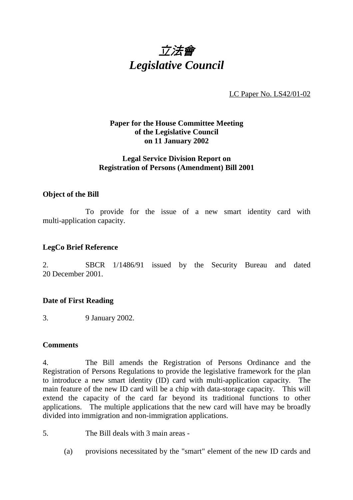

LC Paper No. LS42/01-02

# **Paper for the House Committee Meeting of the Legislative Council on 11 January 2002**

## **Legal Service Division Report on Registration of Persons (Amendment) Bill 2001**

#### **Object of the Bill**

To provide for the issue of a new smart identity card with multi-application capacity.

# **LegCo Brief Reference**

2. SBCR 1/1486/91 issued by the Security Bureau and dated 20 December 2001.

## **Date of First Reading**

3. 9 January 2002.

#### **Comments**

4. The Bill amends the Registration of Persons Ordinance and the Registration of Persons Regulations to provide the legislative framework for the plan to introduce a new smart identity (ID) card with multi-application capacity. The main feature of the new ID card will be a chip with data-storage capacity. This will extend the capacity of the card far beyond its traditional functions to other applications. The multiple applications that the new card will have may be broadly divided into immigration and non-immigration applications.

5. The Bill deals with 3 main areas -

(a) provisions necessitated by the "smart" element of the new ID cards and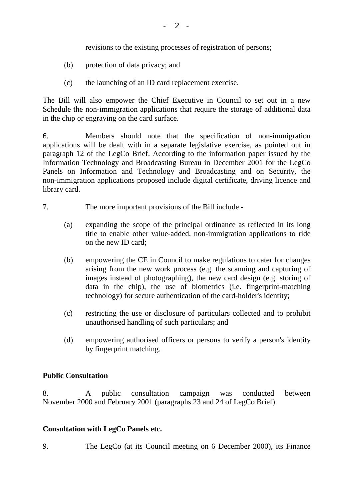revisions to the existing processes of registration of persons;

- (b) protection of data privacy; and
- (c) the launching of an ID card replacement exercise.

The Bill will also empower the Chief Executive in Council to set out in a new Schedule the non-immigration applications that require the storage of additional data in the chip or engraving on the card surface.

6. Members should note that the specification of non-immigration applications will be dealt with in a separate legislative exercise, as pointed out in paragraph 12 of the LegCo Brief. According to the information paper issued by the Information Technology and Broadcasting Bureau in December 2001 for the LegCo Panels on Information and Technology and Broadcasting and on Security, the non-immigration applications proposed include digital certificate, driving licence and library card.

- 7. The more important provisions of the Bill include
	- (a) expanding the scope of the principal ordinance as reflected in its long title to enable other value-added, non-immigration applications to ride on the new ID card;
	- (b) empowering the CE in Council to make regulations to cater for changes arising from the new work process (e.g. the scanning and capturing of images instead of photographing), the new card design (e.g. storing of data in the chip), the use of biometrics (i.e. fingerprint-matching technology) for secure authentication of the card-holder's identity;
	- (c) restricting the use or disclosure of particulars collected and to prohibit unauthorised handling of such particulars; and
	- (d) empowering authorised officers or persons to verify a person's identity by fingerprint matching.

## **Public Consultation**

8. A public consultation campaign was conducted between November 2000 and February 2001 (paragraphs 23 and 24 of LegCo Brief).

## **Consultation with LegCo Panels etc.**

9. The LegCo (at its Council meeting on 6 December 2000), its Finance